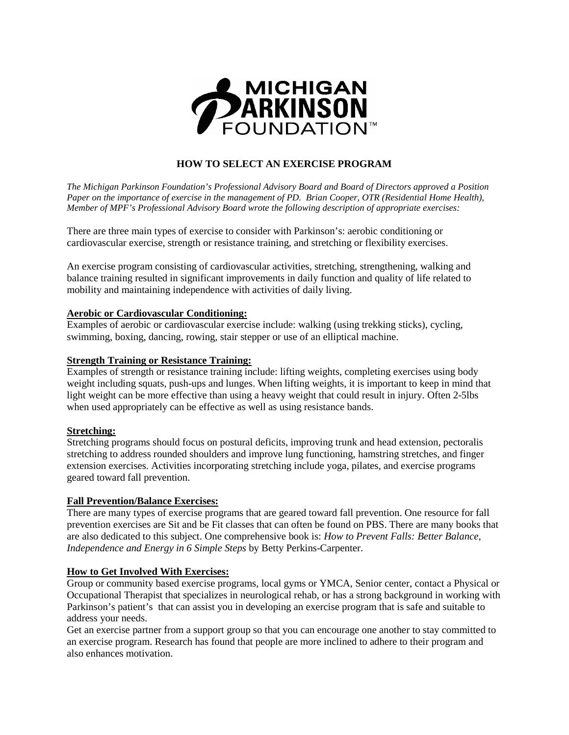

# **HOW TO SELECT AN EXERCISE PROGRAM**

*The Michigan Parkinson Foundation's Professional Advisory Board and Board of Directors approved a Position Paper on the importance of exercise in the management of PD. Brian Cooper, OTR (Residential Home Health), Member of MPF's Professional Advisory Board wrote the following description of appropriate exercises:* 

There are three main types of exercise to consider with Parkinson's: aerobic conditioning or cardiovascular exercise, strength or resistance training, and stretching or flexibility exercises.

An exercise program consisting of cardiovascular activities, stretching, strengthening, walking and balance training resulted in significant improvements in daily function and quality of life related to mobility and maintaining independence with activities of daily living.

## **Aerobic or Cardiovascular Conditioning:**

Examples of aerobic or cardiovascular exercise include: walking (using trekking sticks), cycling, swimming, boxing, dancing, rowing, stair stepper or use of an elliptical machine.

## **Strength Training or Resistance Training:**

Examples of strength or resistance training include: lifting weights, completing exercises using body weight including squats, push-ups and lunges. When lifting weights, it is important to keep in mind that light weight can be more effective than using a heavy weight that could result in injury. Often 2-5lbs when used appropriately can be effective as well as using resistance bands.

## **Stretching:**

Stretching programs should focus on postural deficits, improving trunk and head extension, pectoralis stretching to address rounded shoulders and improve lung functioning, hamstring stretches, and finger extension exercises. Activities incorporating stretching include yoga, pilates, and exercise programs geared toward fall prevention.

## **Fall Prevention/Balance Exercises:**

There are many types of exercise programs that are geared toward fall prevention. One resource for fall prevention exercises are Sit and be Fit classes that can often be found on PBS. There are many books that are also dedicated to this subject. One comprehensive book is: *How to Prevent Falls: Better Balance, Independence and Energy in 6 Simple Steps* by Betty Perkins-Carpenter.

## **How to Get Involved With Exercises:**

Group or community based exercise programs, local gyms or YMCA, Senior center, contact a Physical or Occupational Therapist that specializes in neurological rehab, or has a strong background in working with Parkinson's patient's that can assist you in developing an exercise program that is safe and suitable to address your needs.

Get an exercise partner from a support group so that you can encourage one another to stay committed to an exercise program. Research has found that people are more inclined to adhere to their program and also enhances motivation.